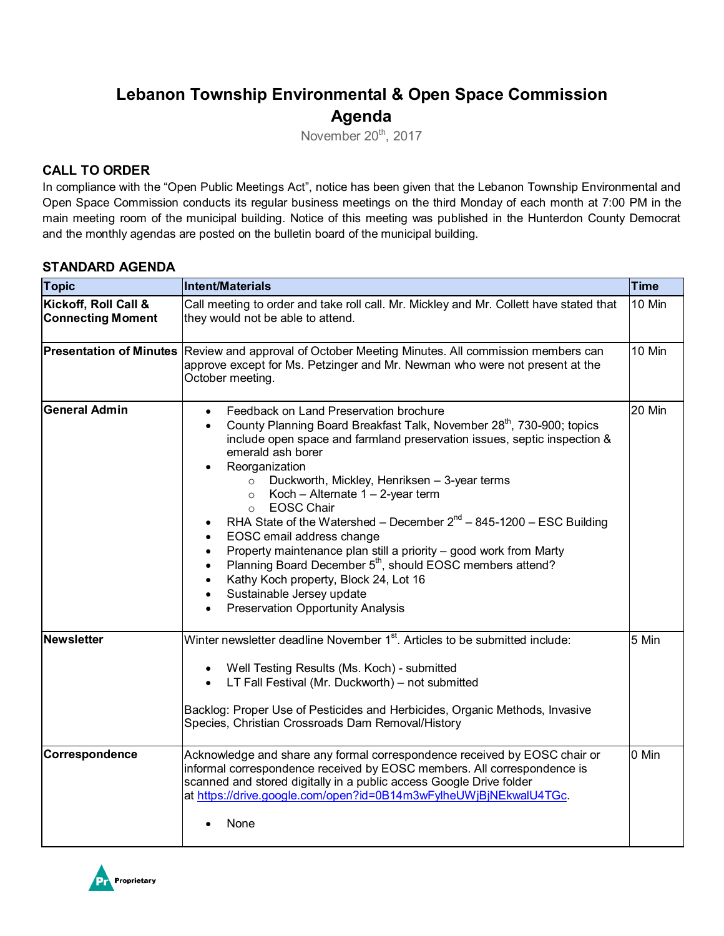# **Lebanon Township Environmental & Open Space Commission Agenda**

November 20<sup>th</sup>, 2017

# **CALL TO ORDER**

In compliance with the "Open Public Meetings Act", notice has been given that the Lebanon Township Environmental and Open Space Commission conducts its regular business meetings on the third Monday of each month at 7:00 PM in the main meeting room of the municipal building. Notice of this meeting was published in the Hunterdon County Democrat and the monthly agendas are posted on the bulletin board of the municipal building.

### **STANDARD AGENDA**

| <b>Topic</b>                                     | <b>Intent/Materials</b>                                                                                                                                                                                                                                                                                                                                                                                                                                                                                                                                                                                                                                                                                                                                                                                                                                                                | <b>Time</b> |
|--------------------------------------------------|----------------------------------------------------------------------------------------------------------------------------------------------------------------------------------------------------------------------------------------------------------------------------------------------------------------------------------------------------------------------------------------------------------------------------------------------------------------------------------------------------------------------------------------------------------------------------------------------------------------------------------------------------------------------------------------------------------------------------------------------------------------------------------------------------------------------------------------------------------------------------------------|-------------|
| Kickoff, Roll Call &<br><b>Connecting Moment</b> | Call meeting to order and take roll call. Mr. Mickley and Mr. Collett have stated that<br>they would not be able to attend.                                                                                                                                                                                                                                                                                                                                                                                                                                                                                                                                                                                                                                                                                                                                                            | 10 Min      |
| <b>Presentation of Minutes</b>                   | 10 Min<br>Review and approval of October Meeting Minutes. All commission members can<br>approve except for Ms. Petzinger and Mr. Newman who were not present at the<br>October meeting.                                                                                                                                                                                                                                                                                                                                                                                                                                                                                                                                                                                                                                                                                                |             |
| <b>General Admin</b>                             | Feedback on Land Preservation brochure<br>$\bullet$<br>County Planning Board Breakfast Talk, November 28 <sup>th</sup> , 730-900; topics<br>$\bullet$<br>include open space and farmland preservation issues, septic inspection &<br>emerald ash borer<br>Reorganization<br>$\bullet$<br>Duckworth, Mickley, Henriksen - 3-year terms<br>$\circ$<br>Koch - Alternate $1 - 2$ -year term<br>$\circ$<br><b>EOSC Chair</b><br>$\circ$<br>RHA State of the Watershed – December $2^{nd}$ – 845-1200 – ESC Building<br>٠<br>EOSC email address change<br>$\bullet$<br>Property maintenance plan still a priority - good work from Marty<br>$\bullet$<br>Planning Board December 5 <sup>th</sup> , should EOSC members attend?<br>$\bullet$<br>Kathy Koch property, Block 24, Lot 16<br>$\bullet$<br>Sustainable Jersey update<br>٠<br><b>Preservation Opportunity Analysis</b><br>$\bullet$ | 20 Min      |
| <b>Newsletter</b>                                | Winter newsletter deadline November 1 <sup>st</sup> . Articles to be submitted include:<br>Well Testing Results (Ms. Koch) - submitted<br>$\bullet$<br>LT Fall Festival (Mr. Duckworth) - not submitted<br>$\bullet$<br>Backlog: Proper Use of Pesticides and Herbicides, Organic Methods, Invasive<br>Species, Christian Crossroads Dam Removal/History                                                                                                                                                                                                                                                                                                                                                                                                                                                                                                                               | 5 Min       |
| Correspondence                                   | Acknowledge and share any formal correspondence received by EOSC chair or<br>informal correspondence received by EOSC members. All correspondence is<br>scanned and stored digitally in a public access Google Drive folder<br>at https://drive.google.com/open?id=0B14m3wFylheUWjBjNEkwalU4TGc.<br>None                                                                                                                                                                                                                                                                                                                                                                                                                                                                                                                                                                               | 0 Min       |

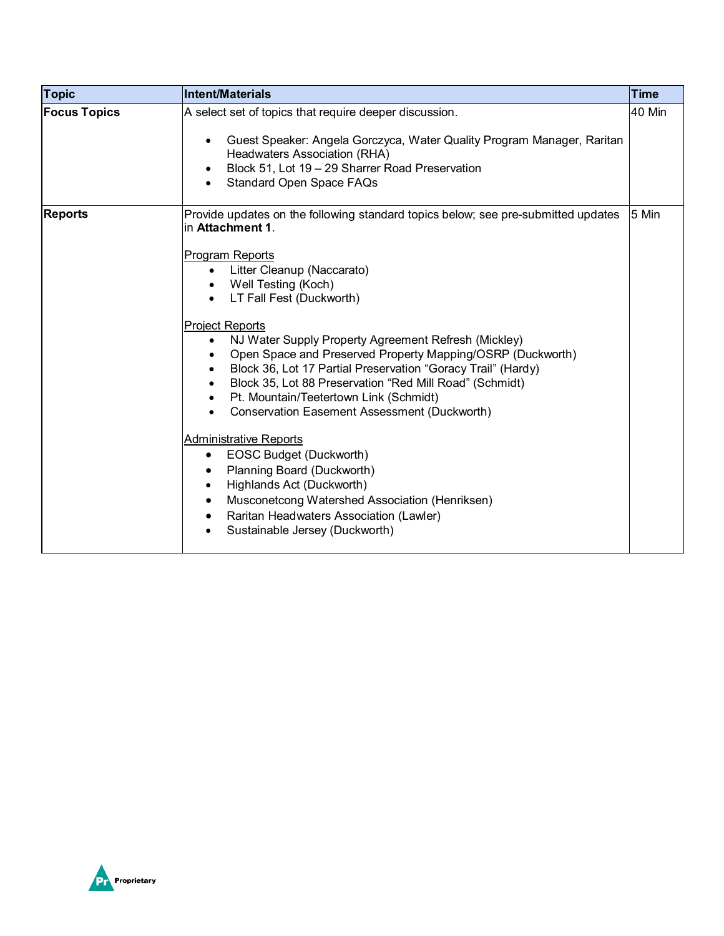| <b>Topic</b>        | Intent/Materials                                                                                                                                                                                                                                                                                                                                                                                                                                                                                                                                                                                                                                                                                                                                                                                                                                                                                     | <b>Time</b> |
|---------------------|------------------------------------------------------------------------------------------------------------------------------------------------------------------------------------------------------------------------------------------------------------------------------------------------------------------------------------------------------------------------------------------------------------------------------------------------------------------------------------------------------------------------------------------------------------------------------------------------------------------------------------------------------------------------------------------------------------------------------------------------------------------------------------------------------------------------------------------------------------------------------------------------------|-------------|
| <b>Focus Topics</b> | A select set of topics that require deeper discussion.<br>Guest Speaker: Angela Gorczyca, Water Quality Program Manager, Raritan<br>$\bullet$<br>Headwaters Association (RHA)<br>Block 51, Lot 19 - 29 Sharrer Road Preservation<br>$\bullet$<br><b>Standard Open Space FAQs</b>                                                                                                                                                                                                                                                                                                                                                                                                                                                                                                                                                                                                                     | 40 Min      |
| <b>Reports</b>      | Provide updates on the following standard topics below; see pre-submitted updates<br>in Attachment 1.<br><b>Program Reports</b><br>Litter Cleanup (Naccarato)<br>Well Testing (Koch)<br>LT Fall Fest (Duckworth)<br><b>Project Reports</b><br>NJ Water Supply Property Agreement Refresh (Mickley)<br>$\bullet$<br>Open Space and Preserved Property Mapping/OSRP (Duckworth)<br>Block 36, Lot 17 Partial Preservation "Goracy Trail" (Hardy)<br>Block 35, Lot 88 Preservation "Red Mill Road" (Schmidt)<br>Pt. Mountain/Teetertown Link (Schmidt)<br>Conservation Easement Assessment (Duckworth)<br><b>Administrative Reports</b><br>EOSC Budget (Duckworth)<br>$\bullet$<br>Planning Board (Duckworth)<br>٠<br>Highlands Act (Duckworth)<br>$\bullet$<br>Musconetcong Watershed Association (Henriksen)<br>$\bullet$<br>Raritan Headwaters Association (Lawler)<br>Sustainable Jersey (Duckworth) | 5 Min       |

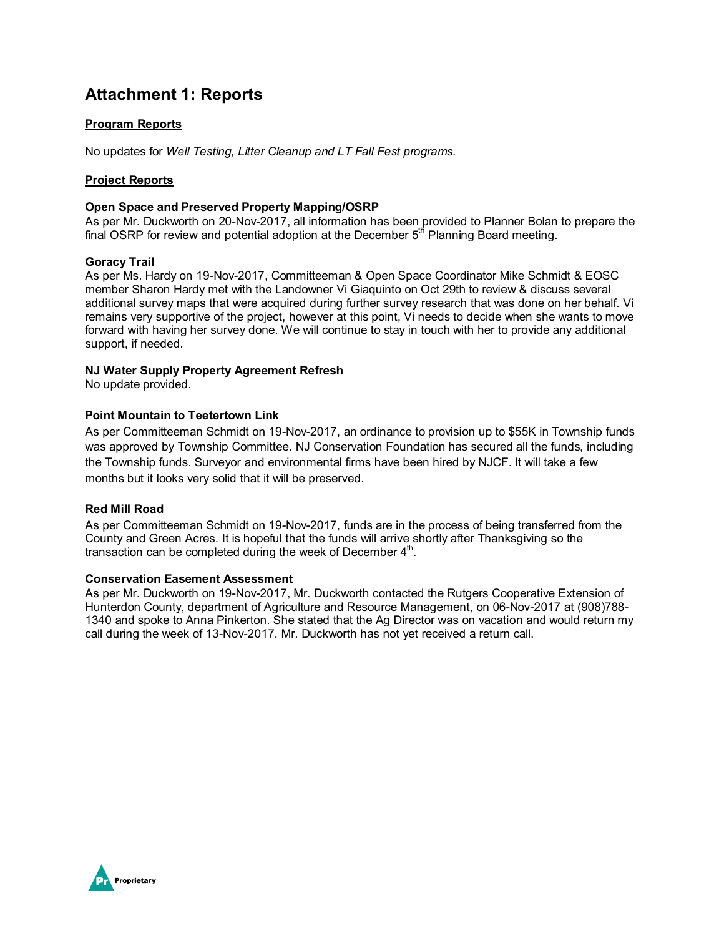# **Attachment 1: Reports**

#### **Program Reports**

No updates for *Well Testing, Litter Cleanup and LT Fall Fest programs.*

#### **Project Reports**

#### **Open Space and Preserved Property Mapping/OSRP**

As per Mr. Duckworth on 20-Nov-2017, all information has been provided to Planner Bolan to prepare the final OSRP for review and potential adoption at the December  $5<sup>th</sup>$  Planning Board meeting.

#### **Goracy Trail**

As per Ms. Hardy on 19-Nov-2017, Committeeman & Open Space Coordinator Mike Schmidt & EOSC member Sharon Hardy met with the Landowner Vi Giaquinto on Oct 29th to review & discuss several additional survey maps that were acquired during further survey research that was done on her behalf. Vi remains very supportive of the project, however at this point, Vi needs to decide when she wants to move forward with having her survey done. We will continue to stay in touch with her to provide any additional support, if needed.

#### **NJ Water Supply Property Agreement Refresh**

No update provided.

#### **Point Mountain to Teetertown Link**

As per Committeeman Schmidt on 19-Nov-2017, an ordinance to provision up to \$55K in Township funds was approved by Township Committee. NJ Conservation Foundation has secured all the funds, including the Township funds. Surveyor and environmental firms have been hired by NJCF. It will take a few months but it looks very solid that it will be preserved.

#### **Red Mill Road**

As per Committeeman Schmidt on 19-Nov-2017, funds are in the process of being transferred from the County and Green Acres. It is hopeful that the funds will arrive shortly after Thanksgiving so the transaction can be completed during the week of December  $4<sup>th</sup>$ .

#### **Conservation Easement Assessment**

As per Mr. Duckworth on 19-Nov-2017, Mr. Duckworth contacted the Rutgers Cooperative Extension of Hunterdon County, department of Agriculture and Resource Management, on 06-Nov-2017 at (908)788- 1340 and spoke to Anna Pinkerton. She stated that the Ag Director was on vacation and would return my call during the week of 13-Nov-2017. Mr. Duckworth has not yet received a return call.

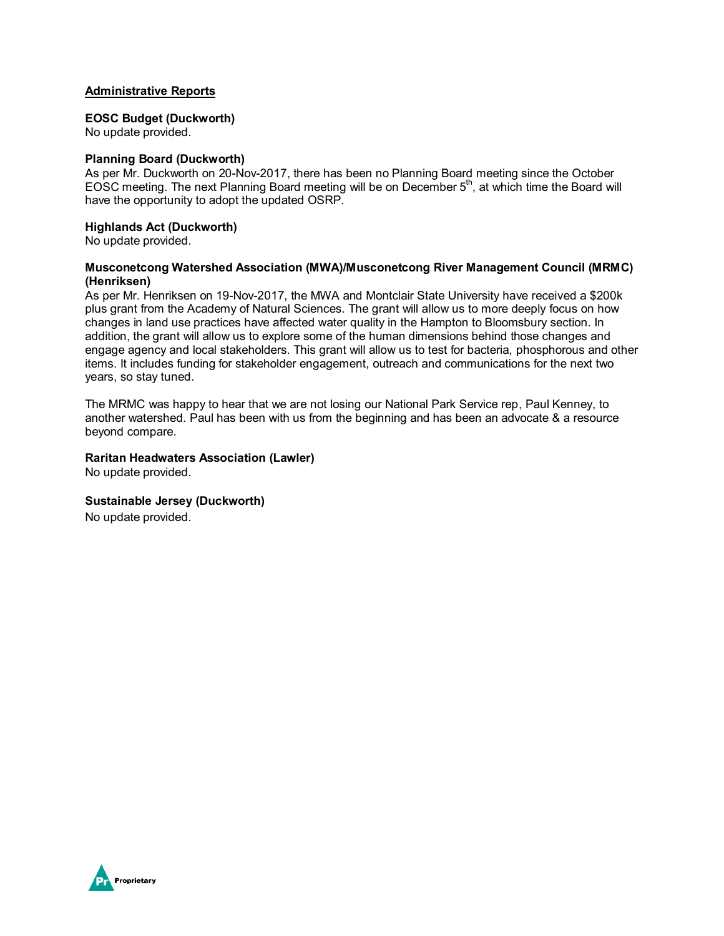#### **Administrative Reports**

#### **EOSC Budget (Duckworth)**

No update provided.

#### **Planning Board (Duckworth)**

As per Mr. Duckworth on 20-Nov-2017, there has been no Planning Board meeting since the October EOSC meeting. The next Planning Board meeting will be on December 5<sup>th</sup>, at which time the Board will have the opportunity to adopt the updated OSRP.

#### **Highlands Act (Duckworth)**

No update provided.

#### **Musconetcong Watershed Association (MWA)/Musconetcong River Management Council (MRMC) (Henriksen)**

As per Mr. Henriksen on 19-Nov-2017, the MWA and Montclair State University have received a \$200k plus grant from the Academy of Natural Sciences. The grant will allow us to more deeply focus on how changes in land use practices have affected water quality in the Hampton to Bloomsbury section. In addition, the grant will allow us to explore some of the human dimensions behind those changes and engage agency and local stakeholders. This grant will allow us to test for bacteria, phosphorous and other items. It includes funding for stakeholder engagement, outreach and communications for the next two years, so stay tuned.

The MRMC was happy to hear that we are not losing our National Park Service rep, Paul Kenney, to another watershed. Paul has been with us from the beginning and has been an advocate & a resource beyond compare.

#### **Raritan Headwaters Association (Lawler)**

No update provided.

#### **Sustainable Jersey (Duckworth)**

No update provided.

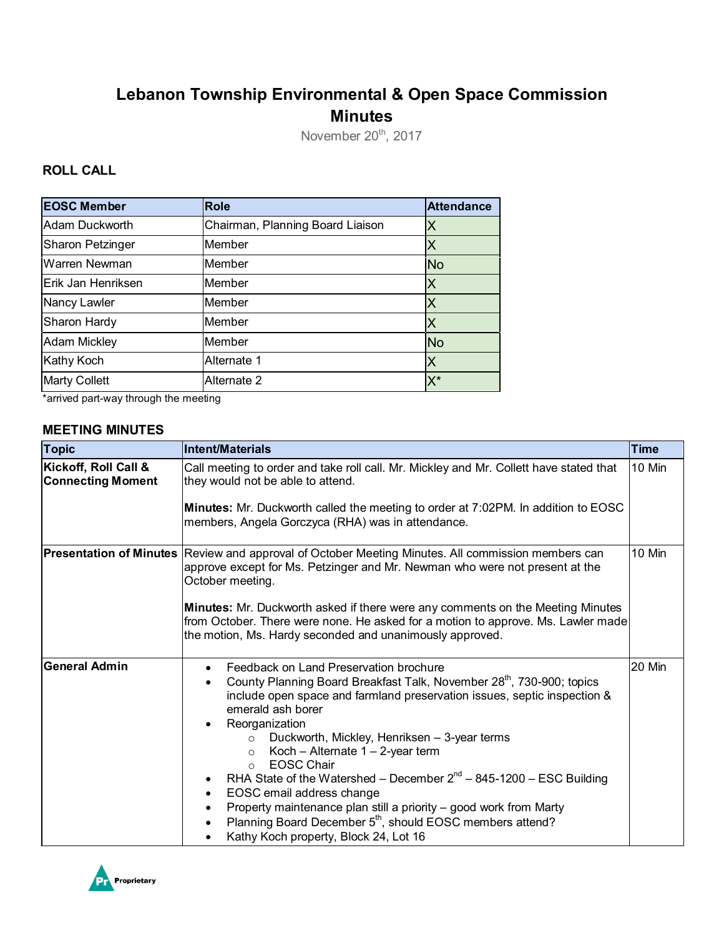# **Lebanon Township Environmental & Open Space Commission Minutes**

November 20<sup>th</sup>, 2017

## **ROLL CALL**

| <b>EOSC Member</b>   | <b>Role</b>                      | <b>Attendance</b> |
|----------------------|----------------------------------|-------------------|
| Adam Duckworth       | Chairman, Planning Board Liaison | IХ                |
| Sharon Petzinger     | Member                           |                   |
| Warren Newman        | Member                           | <b>No</b>         |
| Erik Jan Henriksen   | Member                           | X                 |
| Nancy Lawler         | Member                           | Χ                 |
| Sharon Hardy         | Member                           | Х                 |
| <b>Adam Mickley</b>  | Member                           | <b>No</b>         |
| <b>Kathy Koch</b>    | Alternate 1                      | Χ                 |
| <b>Marty Collett</b> | Alternate 2                      | $X^*$             |

\*arrived part-way through the meeting

### **MEETING MINUTES**

| <b>Topic</b>                                     | <b>Intent/Materials</b>                                                                                                                                                                                                                                                                                                                                                                                                                                                                                                                                                                                                                                                                                                                         | <b>Time</b> |
|--------------------------------------------------|-------------------------------------------------------------------------------------------------------------------------------------------------------------------------------------------------------------------------------------------------------------------------------------------------------------------------------------------------------------------------------------------------------------------------------------------------------------------------------------------------------------------------------------------------------------------------------------------------------------------------------------------------------------------------------------------------------------------------------------------------|-------------|
| Kickoff, Roll Call &<br><b>Connecting Moment</b> | Call meeting to order and take roll call. Mr. Mickley and Mr. Collett have stated that<br>they would not be able to attend.                                                                                                                                                                                                                                                                                                                                                                                                                                                                                                                                                                                                                     | 10 Min      |
|                                                  | <b>Minutes:</b> Mr. Duckworth called the meeting to order at 7:02PM. In addition to EOSC<br>members, Angela Gorczyca (RHA) was in attendance.                                                                                                                                                                                                                                                                                                                                                                                                                                                                                                                                                                                                   |             |
|                                                  | Presentation of Minutes Review and approval of October Meeting Minutes. All commission members can<br>approve except for Ms. Petzinger and Mr. Newman who were not present at the<br>October meeting.                                                                                                                                                                                                                                                                                                                                                                                                                                                                                                                                           | 10 Min      |
|                                                  | <b>Minutes:</b> Mr. Duckworth asked if there were any comments on the Meeting Minutes<br>from October. There were none. He asked for a motion to approve. Ms. Lawler made<br>the motion, Ms. Hardy seconded and unanimously approved.                                                                                                                                                                                                                                                                                                                                                                                                                                                                                                           |             |
| <b>General Admin</b>                             | Feedback on Land Preservation brochure<br>$\bullet$<br>County Planning Board Breakfast Talk, November 28 <sup>th</sup> , 730-900; topics<br>$\bullet$<br>include open space and farmland preservation issues, septic inspection &<br>emerald ash borer<br>Reorganization<br>$\bullet$<br>Duckworth, Mickley, Henriksen - 3-year terms<br>$\circ$<br>Koch - Alternate $1 - 2$ -year term<br>$\circ$<br><b>EOSC Chair</b><br>$\circ$<br>RHA State of the Watershed – December $2^{nd}$ – 845-1200 – ESC Building<br>EOSC email address change<br>$\bullet$<br>Property maintenance plan still a priority - good work from Marty<br>Planning Board December 5 <sup>th</sup> , should EOSC members attend?<br>Kathy Koch property, Block 24, Lot 16 | 20 Min      |

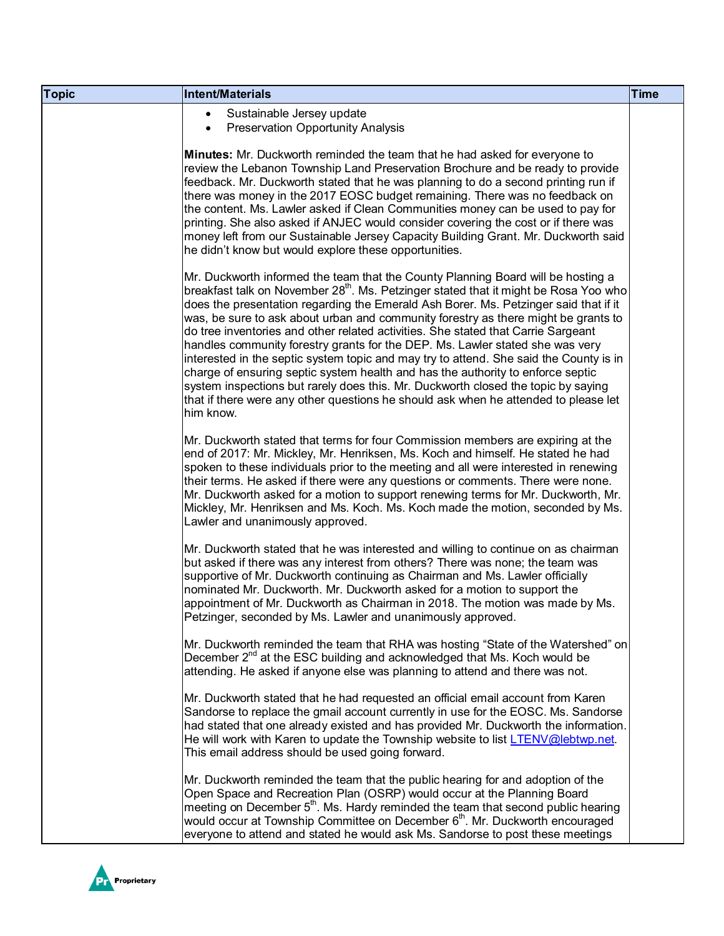| <b>Topic</b> | Intent/Materials                                                                                                                                                                                                                                                                                                                                                                                                                                                                                                                                                                                                                                                                                                                                                                                                                                                                                               | <b>Time</b> |
|--------------|----------------------------------------------------------------------------------------------------------------------------------------------------------------------------------------------------------------------------------------------------------------------------------------------------------------------------------------------------------------------------------------------------------------------------------------------------------------------------------------------------------------------------------------------------------------------------------------------------------------------------------------------------------------------------------------------------------------------------------------------------------------------------------------------------------------------------------------------------------------------------------------------------------------|-------------|
|              | Sustainable Jersey update<br>$\bullet$<br><b>Preservation Opportunity Analysis</b><br>$\bullet$                                                                                                                                                                                                                                                                                                                                                                                                                                                                                                                                                                                                                                                                                                                                                                                                                |             |
|              | Minutes: Mr. Duckworth reminded the team that he had asked for everyone to<br>review the Lebanon Township Land Preservation Brochure and be ready to provide<br>feedback. Mr. Duckworth stated that he was planning to do a second printing run if<br>there was money in the 2017 EOSC budget remaining. There was no feedback on<br>the content. Ms. Lawler asked if Clean Communities money can be used to pay for<br>printing. She also asked if ANJEC would consider covering the cost or if there was<br>money left from our Sustainable Jersey Capacity Building Grant. Mr. Duckworth said<br>he didn't know but would explore these opportunities.                                                                                                                                                                                                                                                      |             |
|              | Mr. Duckworth informed the team that the County Planning Board will be hosting a<br>breakfast talk on November 28 <sup>th</sup> . Ms. Petzinger stated that it might be Rosa Yoo who<br>does the presentation regarding the Emerald Ash Borer. Ms. Petzinger said that if it<br>was, be sure to ask about urban and community forestry as there might be grants to<br>do tree inventories and other related activities. She stated that Carrie Sargeant<br>handles community forestry grants for the DEP. Ms. Lawler stated she was very<br>interested in the septic system topic and may try to attend. She said the County is in<br>charge of ensuring septic system health and has the authority to enforce septic<br>system inspections but rarely does this. Mr. Duckworth closed the topic by saying<br>that if there were any other questions he should ask when he attended to please let<br>him know. |             |
|              | Mr. Duckworth stated that terms for four Commission members are expiring at the<br>end of 2017: Mr. Mickley, Mr. Henriksen, Ms. Koch and himself. He stated he had<br>spoken to these individuals prior to the meeting and all were interested in renewing<br>their terms. He asked if there were any questions or comments. There were none.<br>Mr. Duckworth asked for a motion to support renewing terms for Mr. Duckworth, Mr.<br>Mickley, Mr. Henriksen and Ms. Koch. Ms. Koch made the motion, seconded by Ms.<br>Lawler and unanimously approved.                                                                                                                                                                                                                                                                                                                                                       |             |
|              | Mr. Duckworth stated that he was interested and willing to continue on as chairman<br>but asked if there was any interest from others? There was none; the team was<br>supportive of Mr. Duckworth continuing as Chairman and Ms. Lawler officially<br>nominated Mr. Duckworth. Mr. Duckworth asked for a motion to support the<br>appointment of Mr. Duckworth as Chairman in 2018. The motion was made by Ms.<br>Petzinger, seconded by Ms. Lawler and unanimously approved.                                                                                                                                                                                                                                                                                                                                                                                                                                 |             |
|              | Mr. Duckworth reminded the team that RHA was hosting "State of the Watershed" on<br>December $2^{nd}$ at the ESC building and acknowledged that Ms. Koch would be<br>attending. He asked if anyone else was planning to attend and there was not.                                                                                                                                                                                                                                                                                                                                                                                                                                                                                                                                                                                                                                                              |             |
|              | Mr. Duckworth stated that he had requested an official email account from Karen<br>Sandorse to replace the gmail account currently in use for the EOSC. Ms. Sandorse<br>had stated that one already existed and has provided Mr. Duckworth the information.<br>He will work with Karen to update the Township website to list LTENV@lebtwp.net.<br>This email address should be used going forward.                                                                                                                                                                                                                                                                                                                                                                                                                                                                                                            |             |
|              | Mr. Duckworth reminded the team that the public hearing for and adoption of the<br>Open Space and Recreation Plan (OSRP) would occur at the Planning Board<br>meeting on December $5th$ . Ms. Hardy reminded the team that second public hearing<br>would occur at Township Committee on December 6 <sup>th</sup> . Mr. Duckworth encouraged<br>everyone to attend and stated he would ask Ms. Sandorse to post these meetings                                                                                                                                                                                                                                                                                                                                                                                                                                                                                 |             |

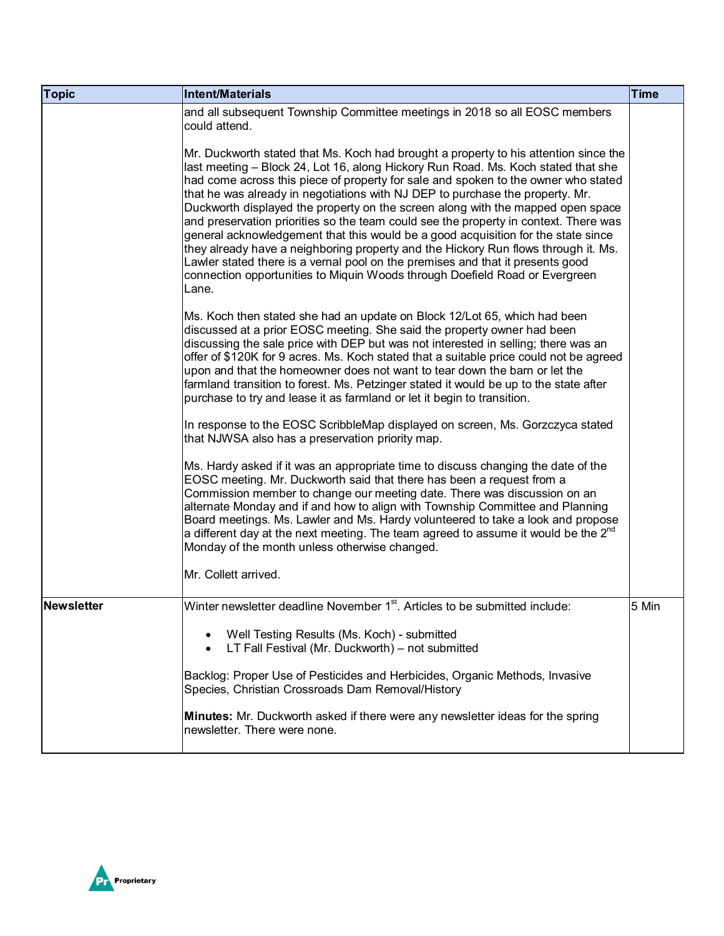| <b>Topic</b>      | Intent/Materials                                                                                                                                                                                                                                                                                                                                                                                                                                                                                                                                                                                                                                                                                                                                                                                                                                                                 | <b>Time</b> |
|-------------------|----------------------------------------------------------------------------------------------------------------------------------------------------------------------------------------------------------------------------------------------------------------------------------------------------------------------------------------------------------------------------------------------------------------------------------------------------------------------------------------------------------------------------------------------------------------------------------------------------------------------------------------------------------------------------------------------------------------------------------------------------------------------------------------------------------------------------------------------------------------------------------|-------------|
|                   | and all subsequent Township Committee meetings in 2018 so all EOSC members<br>could attend.                                                                                                                                                                                                                                                                                                                                                                                                                                                                                                                                                                                                                                                                                                                                                                                      |             |
|                   | Mr. Duckworth stated that Ms. Koch had brought a property to his attention since the<br>last meeting - Block 24, Lot 16, along Hickory Run Road. Ms. Koch stated that she<br>had come across this piece of property for sale and spoken to the owner who stated<br>that he was already in negotiations with NJ DEP to purchase the property. Mr.<br>Duckworth displayed the property on the screen along with the mapped open space<br>and preservation priorities so the team could see the property in context. There was<br>general acknowledgement that this would be a good acquisition for the state since<br>they already have a neighboring property and the Hickory Run flows through it. Ms.<br>Lawler stated there is a vernal pool on the premises and that it presents good<br>connection opportunities to Miquin Woods through Doefield Road or Evergreen<br>Lane. |             |
|                   | Ms. Koch then stated she had an update on Block 12/Lot 65, which had been<br>discussed at a prior EOSC meeting. She said the property owner had been<br>discussing the sale price with DEP but was not interested in selling; there was an<br>offer of \$120K for 9 acres. Ms. Koch stated that a suitable price could not be agreed<br>upon and that the homeowner does not want to tear down the barn or let the<br>farmland transition to forest. Ms. Petzinger stated it would be up to the state after<br>purchase to try and lease it as farmland or let it begin to transition.                                                                                                                                                                                                                                                                                           |             |
|                   | In response to the EOSC ScribbleMap displayed on screen, Ms. Gorzczyca stated<br>that NJWSA also has a preservation priority map.                                                                                                                                                                                                                                                                                                                                                                                                                                                                                                                                                                                                                                                                                                                                                |             |
|                   | Ms. Hardy asked if it was an appropriate time to discuss changing the date of the<br>EOSC meeting. Mr. Duckworth said that there has been a request from a<br>Commission member to change our meeting date. There was discussion on an<br>alternate Monday and if and how to align with Township Committee and Planning<br>Board meetings. Ms. Lawler and Ms. Hardy volunteered to take a look and propose<br>a different day at the next meeting. The team agreed to assume it would be the $2^{nd}$<br>Monday of the month unless otherwise changed.                                                                                                                                                                                                                                                                                                                           |             |
|                   | Mr. Collett arrived.                                                                                                                                                                                                                                                                                                                                                                                                                                                                                                                                                                                                                                                                                                                                                                                                                                                             |             |
| <b>Newsletter</b> | Winter newsletter deadline November 1 <sup>st</sup> . Articles to be submitted include:<br>Well Testing Results (Ms. Koch) - submitted<br>٠<br>LT Fall Festival (Mr. Duckworth) - not submitted<br>$\bullet$<br>Backlog: Proper Use of Pesticides and Herbicides, Organic Methods, Invasive                                                                                                                                                                                                                                                                                                                                                                                                                                                                                                                                                                                      | 5 Min       |
|                   | Species, Christian Crossroads Dam Removal/History<br><b>Minutes:</b> Mr. Duckworth asked if there were any newsletter ideas for the spring<br>newsletter. There were none.                                                                                                                                                                                                                                                                                                                                                                                                                                                                                                                                                                                                                                                                                                       |             |

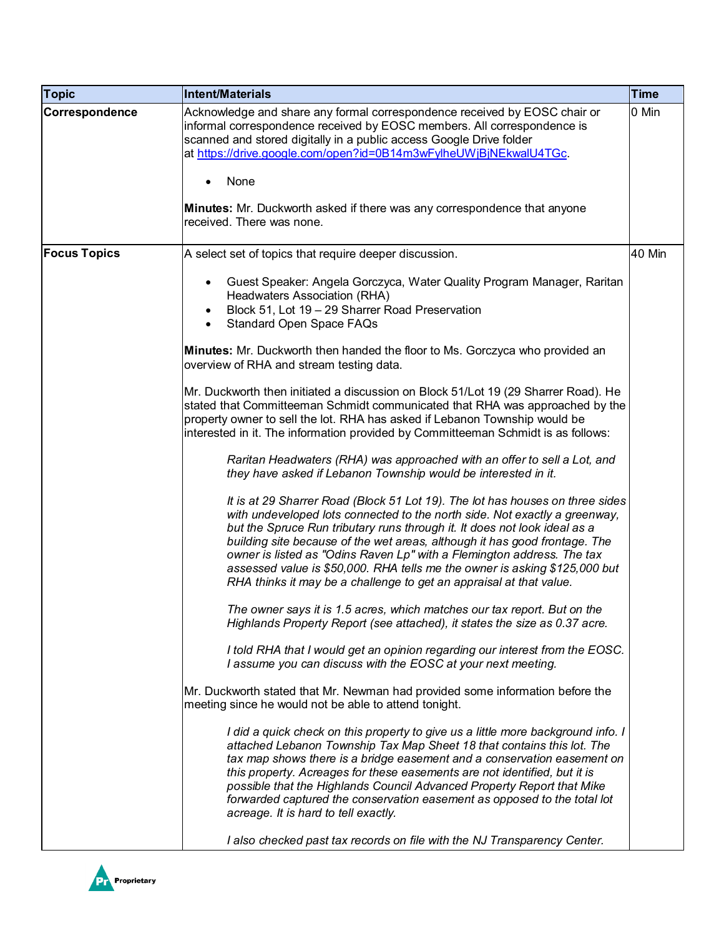| <b>Topic</b>        | <b>Intent/Materials</b>                                                                                                                                                                                                                                                                                                                                                                                                                                                                                                                               | <b>Time</b> |
|---------------------|-------------------------------------------------------------------------------------------------------------------------------------------------------------------------------------------------------------------------------------------------------------------------------------------------------------------------------------------------------------------------------------------------------------------------------------------------------------------------------------------------------------------------------------------------------|-------------|
| Correspondence      | Acknowledge and share any formal correspondence received by EOSC chair or<br>informal correspondence received by EOSC members. All correspondence is<br>scanned and stored digitally in a public access Google Drive folder<br>at https://drive.google.com/open?id=0B14m3wFylheUWjBjNEkwalU4TGc.                                                                                                                                                                                                                                                      | 0 Min       |
|                     | None                                                                                                                                                                                                                                                                                                                                                                                                                                                                                                                                                  |             |
|                     | Minutes: Mr. Duckworth asked if there was any correspondence that anyone<br>received. There was none.                                                                                                                                                                                                                                                                                                                                                                                                                                                 |             |
| <b>Focus Topics</b> | A select set of topics that require deeper discussion.                                                                                                                                                                                                                                                                                                                                                                                                                                                                                                | 40 Min      |
|                     | Guest Speaker: Angela Gorczyca, Water Quality Program Manager, Raritan<br>$\bullet$<br>Headwaters Association (RHA)<br>Block 51, Lot 19 - 29 Sharrer Road Preservation<br>Standard Open Space FAQs                                                                                                                                                                                                                                                                                                                                                    |             |
|                     | <b>Minutes:</b> Mr. Duckworth then handed the floor to Ms. Gorczyca who provided an<br>overview of RHA and stream testing data.                                                                                                                                                                                                                                                                                                                                                                                                                       |             |
|                     | Mr. Duckworth then initiated a discussion on Block 51/Lot 19 (29 Sharrer Road). He<br>stated that Committeeman Schmidt communicated that RHA was approached by the<br>property owner to sell the lot. RHA has asked if Lebanon Township would be<br>interested in it. The information provided by Committeeman Schmidt is as follows:                                                                                                                                                                                                                 |             |
|                     | Raritan Headwaters (RHA) was approached with an offer to sell a Lot, and<br>they have asked if Lebanon Township would be interested in it.                                                                                                                                                                                                                                                                                                                                                                                                            |             |
|                     | It is at 29 Sharrer Road (Block 51 Lot 19). The lot has houses on three sides<br>with undeveloped lots connected to the north side. Not exactly a greenway,<br>but the Spruce Run tributary runs through it. It does not look ideal as a<br>building site because of the wet areas, although it has good frontage. The<br>owner is listed as "Odins Raven Lp" with a Flemington address. The tax<br>assessed value is \$50,000. RHA tells me the owner is asking \$125,000 but<br>RHA thinks it may be a challenge to get an appraisal at that value. |             |
|                     | The owner says it is 1.5 acres, which matches our tax report. But on the<br>Highlands Property Report (see attached), it states the size as 0.37 acre.                                                                                                                                                                                                                                                                                                                                                                                                |             |
|                     | I told RHA that I would get an opinion regarding our interest from the EOSC.<br>I assume you can discuss with the EOSC at your next meeting.                                                                                                                                                                                                                                                                                                                                                                                                          |             |
|                     | Mr. Duckworth stated that Mr. Newman had provided some information before the<br>meeting since he would not be able to attend tonight.                                                                                                                                                                                                                                                                                                                                                                                                                |             |
|                     | I did a quick check on this property to give us a little more background info. I<br>attached Lebanon Township Tax Map Sheet 18 that contains this lot. The<br>tax map shows there is a bridge easement and a conservation easement on<br>this property. Acreages for these easements are not identified, but it is<br>possible that the Highlands Council Advanced Property Report that Mike<br>forwarded captured the conservation easement as opposed to the total lot<br>acreage. It is hard to tell exactly.                                      |             |
|                     | I also checked past tax records on file with the NJ Transparency Center.                                                                                                                                                                                                                                                                                                                                                                                                                                                                              |             |

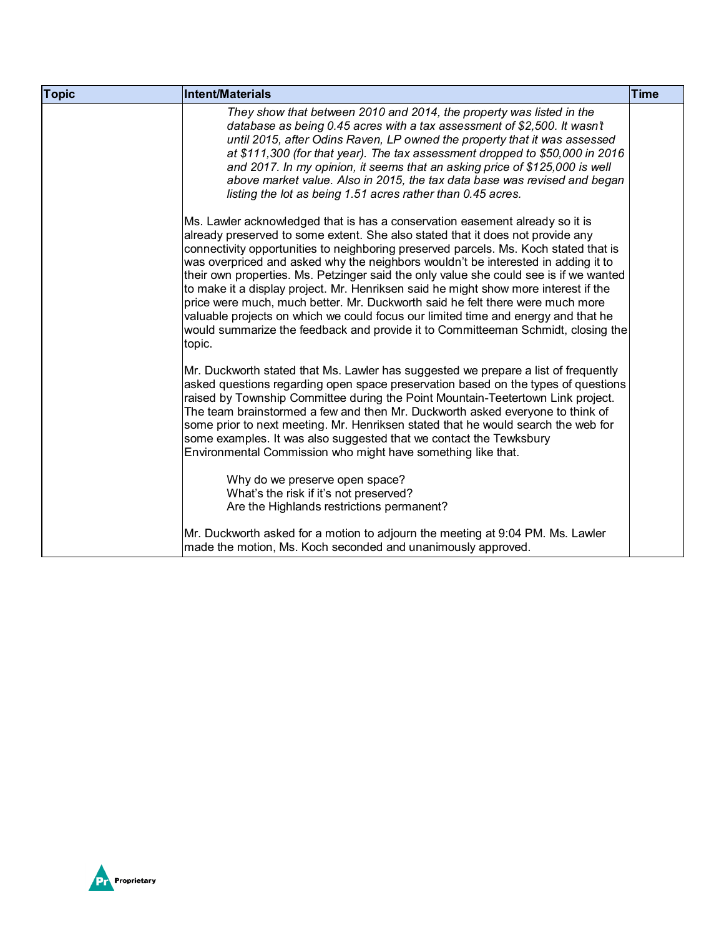| <b>Topic</b> | <b>Intent/Materials</b>                                                                                                                                                                                                                                                                                                                                                                                                                                                                                                                                                                                                                                                                                                                                                                         | <b>Time</b> |
|--------------|-------------------------------------------------------------------------------------------------------------------------------------------------------------------------------------------------------------------------------------------------------------------------------------------------------------------------------------------------------------------------------------------------------------------------------------------------------------------------------------------------------------------------------------------------------------------------------------------------------------------------------------------------------------------------------------------------------------------------------------------------------------------------------------------------|-------------|
|              | They show that between 2010 and 2014, the property was listed in the<br>database as being 0.45 acres with a tax assessment of \$2,500. It wasn't<br>until 2015, after Odins Raven, LP owned the property that it was assessed<br>at \$111,300 (for that year). The tax assessment dropped to \$50,000 in 2016<br>and 2017. In my opinion, it seems that an asking price of \$125,000 is well<br>above market value. Also in 2015, the tax data base was revised and began<br>listing the lot as being 1.51 acres rather than 0.45 acres.                                                                                                                                                                                                                                                        |             |
|              | Ms. Lawler acknowledged that is has a conservation easement already so it is<br>already preserved to some extent. She also stated that it does not provide any<br>connectivity opportunities to neighboring preserved parcels. Ms. Koch stated that is<br>was overpriced and asked why the neighbors wouldn't be interested in adding it to<br>their own properties. Ms. Petzinger said the only value she could see is if we wanted<br>to make it a display project. Mr. Henriksen said he might show more interest if the<br>price were much, much better. Mr. Duckworth said he felt there were much more<br>valuable projects on which we could focus our limited time and energy and that he<br>would summarize the feedback and provide it to Committeeman Schmidt, closing the<br>topic. |             |
|              | Mr. Duckworth stated that Ms. Lawler has suggested we prepare a list of frequently<br>asked questions regarding open space preservation based on the types of questions<br>raised by Township Committee during the Point Mountain-Teetertown Link project.<br>The team brainstormed a few and then Mr. Duckworth asked everyone to think of<br>some prior to next meeting. Mr. Henriksen stated that he would search the web for<br>some examples. It was also suggested that we contact the Tewksbury<br>Environmental Commission who might have something like that.<br>Why do we preserve open space?<br>What's the risk if it's not preserved?<br>Are the Highlands restrictions permanent?                                                                                                 |             |
|              | Mr. Duckworth asked for a motion to adjourn the meeting at 9:04 PM. Ms. Lawler<br>made the motion, Ms. Koch seconded and unanimously approved.                                                                                                                                                                                                                                                                                                                                                                                                                                                                                                                                                                                                                                                  |             |